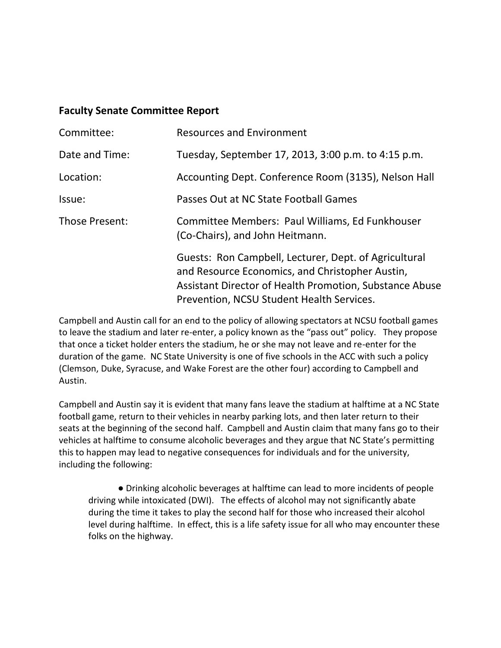## **Faculty Senate Committee Report**

| Committee:     | <b>Resources and Environment</b>                                                                                                                                                                                 |
|----------------|------------------------------------------------------------------------------------------------------------------------------------------------------------------------------------------------------------------|
| Date and Time: | Tuesday, September 17, 2013, 3:00 p.m. to 4:15 p.m.                                                                                                                                                              |
| Location:      | Accounting Dept. Conference Room (3135), Nelson Hall                                                                                                                                                             |
| Issue:         | Passes Out at NC State Football Games                                                                                                                                                                            |
| Those Present: | Committee Members: Paul Williams, Ed Funkhouser<br>(Co-Chairs), and John Heitmann.                                                                                                                               |
|                | Guests: Ron Campbell, Lecturer, Dept. of Agricultural<br>and Resource Economics, and Christopher Austin,<br>Assistant Director of Health Promotion, Substance Abuse<br>Prevention, NCSU Student Health Services. |

Campbell and Austin call for an end to the policy of allowing spectators at NCSU football games to leave the stadium and later re-enter, a policy known as the "pass out" policy. They propose that once a ticket holder enters the stadium, he or she may not leave and re-enter for the duration of the game. NC State University is one of five schools in the ACC with such a policy (Clemson, Duke, Syracuse, and Wake Forest are the other four) according to Campbell and Austin.

Campbell and Austin say it is evident that many fans leave the stadium at halftime at a NC State football game, return to their vehicles in nearby parking lots, and then later return to their seats at the beginning of the second half. Campbell and Austin claim that many fans go to their vehicles at halftime to consume alcoholic beverages and they argue that NC State's permitting this to happen may lead to negative consequences for individuals and for the university, including the following:

● Drinking alcoholic beverages at halftime can lead to more incidents of people driving while intoxicated (DWI). The effects of alcohol may not significantly abate during the time it takes to play the second half for those who increased their alcohol level during halftime. In effect, this is a life safety issue for all who may encounter these folks on the highway.